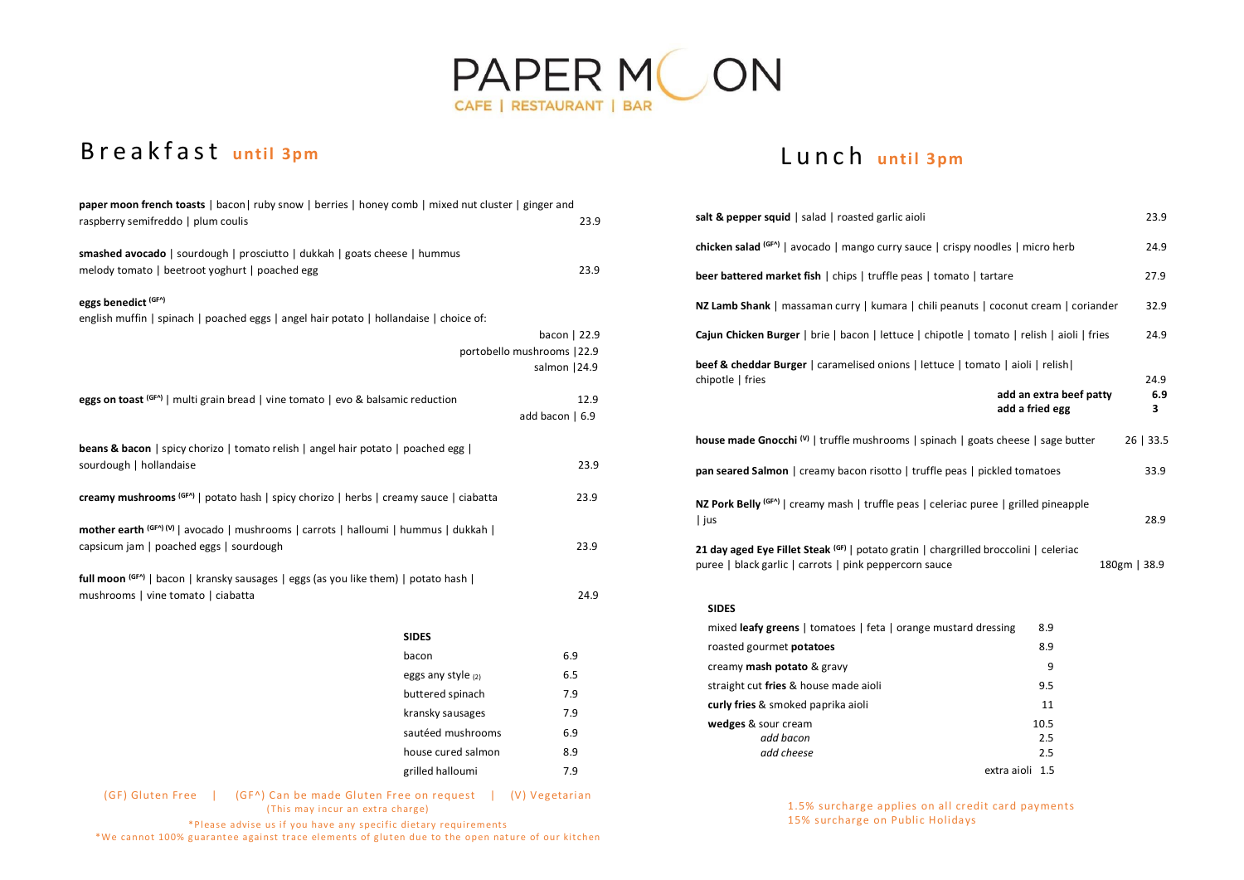

# B r e a k f a s t until 3pm

| paper moon french toasts   bacon   ruby snow   berries   honey comb   mixed nut cluster   ginger and |                    |                             |
|------------------------------------------------------------------------------------------------------|--------------------|-----------------------------|
| raspberry semifreddo   plum coulis                                                                   |                    | 23.9                        |
| smashed avocado   sourdough   prosciutto   dukkah   goats cheese   hummus                            |                    |                             |
| melody tomato   beetroot yoghurt   poached egg                                                       |                    | 23.9                        |
| eggs benedict (GF^)                                                                                  |                    |                             |
| english muffin   spinach   poached eggs   angel hair potato   hollandaise   choice of:               |                    |                             |
|                                                                                                      |                    | bacon   22.9                |
|                                                                                                      |                    | portobello mushrooms   22.9 |
|                                                                                                      |                    | salmon   24.9               |
| eggs on toast (GF^)   multi grain bread   vine tomato   evo & balsamic reduction                     |                    | 12.9                        |
|                                                                                                      |                    | add bacon   6.9             |
|                                                                                                      |                    |                             |
| <b>beans &amp; bacon</b>   spicy chorizo   tomato relish   angel hair potato   poached egg           |                    |                             |
| sourdough   hollandaise                                                                              |                    | 23.9                        |
| creamy mushrooms $(GF^A)$   potato hash   spicy chorizo   herbs   creamy sauce   ciabatta            |                    | 23.9                        |
|                                                                                                      |                    |                             |
| mother earth (GF^) (V)   avocado   mushrooms   carrots   halloumi   hummus   dukkah                  |                    |                             |
| capsicum jam   poached eggs   sourdough                                                              |                    | 23.9                        |
| full moon (GF^)   bacon   kransky sausages   eggs (as you like them)   potato hash                   |                    |                             |
| mushrooms   vine tomato   ciabatta                                                                   |                    | 24.9                        |
|                                                                                                      |                    |                             |
|                                                                                                      | <b>SIDES</b>       |                             |
|                                                                                                      | bacon              | 6.9                         |
|                                                                                                      | eggs any style (2) | 6.5                         |
|                                                                                                      | buttered spinach   | 7.9                         |
|                                                                                                      | kransky sausages   | 7.9                         |
|                                                                                                      | sautéed mushrooms  | 6.9                         |
|                                                                                                      | house cured salmon | 8.9                         |
|                                                                                                      | grilled halloumi   | 7.9                         |
| $(GF)$ Gluten Free $\Box$ $(GF^A)$ Can be made Gluten Free on request $\Box$ (V) Vegetarian          |                    |                             |

'ee | (GF^) Can be made Gluten Free on request | (V) Veg  $($ This may incur an extra charge $)$ 

\*Please advise us if you have any specific dietary requirements \*We cannot 100% guarantee against trace elements of gluten due to the open nature of our kitchen

| salt & pepper squid   salad   roasted garlic aioli                                                              |                  |  |
|-----------------------------------------------------------------------------------------------------------------|------------------|--|
| chicken salad $(GF^A)$   avocado   mango curry sauce   crispy noodles   micro herb                              |                  |  |
| beer battered market fish   chips   truffle peas   tomato   tartare                                             |                  |  |
| NZ Lamb Shank   massaman curry   kumara   chili peanuts   coconut cream   coriander                             |                  |  |
| Cajun Chicken Burger   brie   bacon   lettuce   chipotle   tomato   relish   aioli   fries                      |                  |  |
| beef & cheddar Burger   caramelised onions   lettuce   tomato   aioli   relish                                  |                  |  |
| chipotle   fries<br>add an extra beef patty<br>add a fried egg                                                  | 24.9<br>6.9<br>з |  |
| <b>house made Gnocchi</b> $\left(\frac{1}{1}\right)$   truffle mushrooms   spinach   goats cheese   sage butter | $26$   33.5      |  |
| <b>pan seared Salmon</b>   creamy bacon risotto   truffle peas   pickled tomatoes                               | 33.9             |  |
|                                                                                                                 |                  |  |
| NZ Pork Belly <sup>(GFA)</sup>   creamy mash   truffle peas   celeriac puree   grilled pineapple<br>  jus       | 28.9             |  |

### **SIDES**

| mixed leafy greens   tomatoes   feta   orange mustard dressing | 8.9  |
|----------------------------------------------------------------|------|
| roasted gourmet <b>potatoes</b>                                | 8.9  |
| creamy <b>mash potato</b> & gravy                              | 9    |
| straight cut fries & house made aioli                          | 9.5  |
| curly fries & smoked paprika aioli                             | 11   |
| wedges & sour cream                                            | 10.5 |
| add bacon                                                      | 2.5  |
| add cheese                                                     | 2.5  |
| extra aioli                                                    | 1.5  |

1.5% surcharge applies on all credit card payments 15% surcharge on Public Holidays